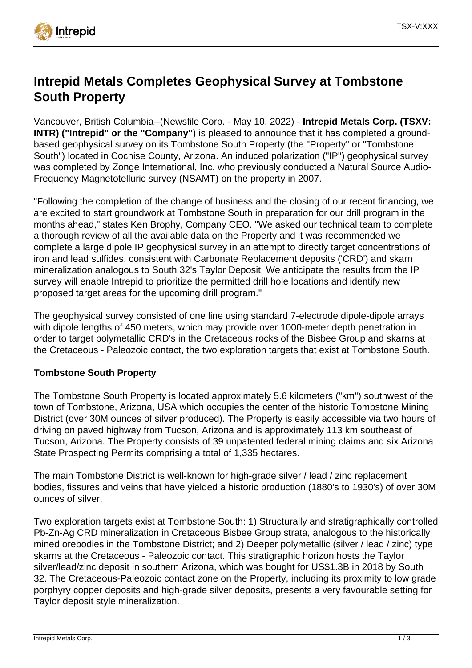

# **Intrepid Metals Completes Geophysical Survey at Tombstone South Property**

Vancouver, British Columbia--(Newsfile Corp. - May 10, 2022) - **Intrepid Metals Corp. (TSXV: INTR) ("Intrepid" or the "Company"**) is pleased to announce that it has completed a groundbased geophysical survey on its Tombstone South Property (the "Property" or "Tombstone South") located in Cochise County, Arizona. An induced polarization ("IP") geophysical survey was completed by Zonge International, Inc. who previously conducted a Natural Source Audio-Frequency Magnetotelluric survey (NSAMT) on the property in 2007.

"Following the completion of the change of business and the closing of our recent financing, we are excited to start groundwork at Tombstone South in preparation for our drill program in the months ahead," states Ken Brophy, Company CEO. "We asked our technical team to complete a thorough review of all the available data on the Property and it was recommended we complete a large dipole IP geophysical survey in an attempt to directly target concentrations of iron and lead sulfides, consistent with Carbonate Replacement deposits ('CRD') and skarn mineralization analogous to South 32's Taylor Deposit. We anticipate the results from the IP survey will enable Intrepid to prioritize the permitted drill hole locations and identify new proposed target areas for the upcoming drill program."

The geophysical survey consisted of one line using standard 7-electrode dipole-dipole arrays with dipole lengths of 450 meters, which may provide over 1000-meter depth penetration in order to target polymetallic CRD's in the Cretaceous rocks of the Bisbee Group and skarns at the Cretaceous - Paleozoic contact, the two exploration targets that exist at Tombstone South.

# **Tombstone South Property**

The Tombstone South Property is located approximately 5.6 kilometers ("km") southwest of the town of Tombstone, Arizona, USA which occupies the center of the historic Tombstone Mining District (over 30M ounces of silver produced). The Property is easily accessible via two hours of driving on paved highway from Tucson, Arizona and is approximately 113 km southeast of Tucson, Arizona. The Property consists of 39 unpatented federal mining claims and six Arizona State Prospecting Permits comprising a total of 1,335 hectares.

The main Tombstone District is well-known for high-grade silver / lead / zinc replacement bodies, fissures and veins that have yielded a historic production (1880's to 1930's) of over 30M ounces of silver.

Two exploration targets exist at Tombstone South: 1) Structurally and stratigraphically controlled Pb-Zn-Ag CRD mineralization in Cretaceous Bisbee Group strata, analogous to the historically mined orebodies in the Tombstone District; and 2) Deeper polymetallic (silver / lead / zinc) type skarns at the Cretaceous - Paleozoic contact. This stratigraphic horizon hosts the Taylor silver/lead/zinc deposit in southern Arizona, which was bought for US\$1.3B in 2018 by South 32. The Cretaceous-Paleozoic contact zone on the Property, including its proximity to low grade porphyry copper deposits and high-grade silver deposits, presents a very favourable setting for Taylor deposit style mineralization.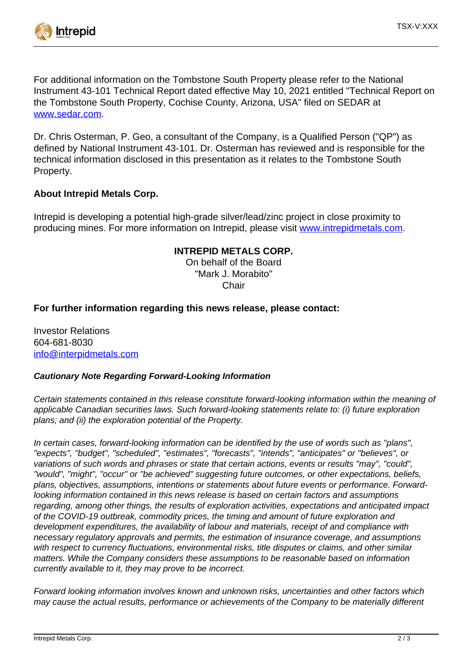

For additional information on the Tombstone South Property please refer to the National Instrument 43-101 Technical Report dated effective May 10, 2021 entitled "Technical Report on the Tombstone South Property, Cochise County, Arizona, USA" filed on SEDAR at [www.sedar.com.](https://www.newsfilecorp.com/redirect/D34GOtW5xz)

Dr. Chris Osterman, P. Geo, a consultant of the Company, is a Qualified Person ("QP") as defined by National Instrument 43-101. Dr. Osterman has reviewed and is responsible for the technical information disclosed in this presentation as it relates to the Tombstone South Property.

# **About Intrepid Metals Corp.**

Intrepid is developing a potential high-grade silver/lead/zinc project in close proximity to producing mines. For more information on Intrepid, please visit [www.intrepidmetals.com.](https://www.newsfilecorp.com/redirect/rYwWpSJZ7w)

# **INTREPID METALS CORP.**

On behalf of the Board "Mark J. Morabito" **Chair** 

# **For further information regarding this news release, please contact:**

Investor Relations 604-681-8030 [info@interpidmetals.com](mailto:info@interpidmetals.com)

# **Cautionary Note Regarding Forward-Looking Information**

Certain statements contained in this release constitute forward-looking information within the meaning of applicable Canadian securities laws. Such forward-looking statements relate to: (i) future exploration plans; and (ii) the exploration potential of the Property.

In certain cases, forward-looking information can be identified by the use of words such as "plans", "expects", "budget", "scheduled", "estimates", "forecasts", "intends", "anticipates" or "believes", or variations of such words and phrases or state that certain actions, events or results "may", "could", "would", "might", "occur" or "be achieved" suggesting future outcomes, or other expectations, beliefs, plans, objectives, assumptions, intentions or statements about future events or performance. Forwardlooking information contained in this news release is based on certain factors and assumptions regarding, among other things, the results of exploration activities, expectations and anticipated impact of the COVID-19 outbreak, commodity prices, the timing and amount of future exploration and development expenditures, the availability of labour and materials, receipt of and compliance with necessary regulatory approvals and permits, the estimation of insurance coverage, and assumptions with respect to currency fluctuations, environmental risks, title disputes or claims, and other similar matters. While the Company considers these assumptions to be reasonable based on information currently available to it, they may prove to be incorrect.

Forward looking information involves known and unknown risks, uncertainties and other factors which may cause the actual results, performance or achievements of the Company to be materially different